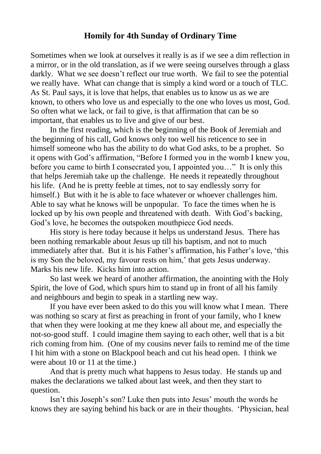## **Homily for 4th Sunday of Ordinary Time**

Sometimes when we look at ourselves it really is as if we see a dim reflection in a mirror, or in the old translation, as if we were seeing ourselves through a glass darkly. What we see doesn't reflect our true worth. We fail to see the potential we really have. What can change that is simply a kind word or a touch of TLC. As St. Paul says, it is love that helps, that enables us to know us as we are known, to others who love us and especially to the one who loves us most, God. So often what we lack, or fail to give, is that affirmation that can be so important, that enables us to live and give of our best.

In the first reading, which is the beginning of the Book of Jeremiah and the beginning of his call, God knows only too well his reticence to see in himself someone who has the ability to do what God asks, to be a prophet. So it opens with God's affirmation, "Before I formed you in the womb I knew you, before you came to birth I consecrated you, I appointed you…" It is only this that helps Jeremiah take up the challenge. He needs it repeatedly throughout his life. (And he is pretty feeble at times, not to say endlessly sorry for himself.) But with it he is able to face whatever or whoever challenges him. Able to say what he knows will be unpopular. To face the times when he is locked up by his own people and threatened with death. With God's backing, God's love, he becomes the outspoken mouthpiece God needs.

His story is here today because it helps us understand Jesus. There has been nothing remarkable about Jesus up till his baptism, and not to much immediately after that. But it is his Father's affirmation, his Father's love, 'this is my Son the beloved, my favour rests on him,' that gets Jesus underway. Marks his new life. Kicks him into action.

So last week we heard of another affirmation, the anointing with the Holy Spirit, the love of God, which spurs him to stand up in front of all his family and neighbours and begin to speak in a startling new way.

If you have ever been asked to do this you will know what I mean. There was nothing so scary at first as preaching in front of your family, who I knew that when they were looking at me they knew all about me, and especially the not-so-good stuff. I could imagine them saying to each other, well that is a bit rich coming from him. (One of my cousins never fails to remind me of the time I hit him with a stone on Blackpool beach and cut his head open. I think we were about 10 or 11 at the time.)

And that is pretty much what happens to Jesus today. He stands up and makes the declarations we talked about last week, and then they start to question.

Isn't this Joseph's son? Luke then puts into Jesus' mouth the words he knows they are saying behind his back or are in their thoughts. 'Physician, heal